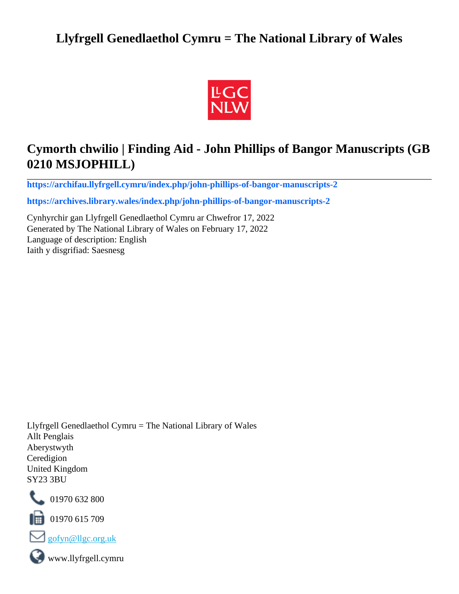# **Llyfrgell Genedlaethol Cymru = The National Library of Wales**



# **Cymorth chwilio | Finding Aid - John Phillips of Bangor Manuscripts (GB 0210 MSJOPHILL)**

**[https://archifau.llyfrgell.cymru/index.php/john-phillips-of-bangor-manuscripts-2](https://archifau.llyfrgell.cymru/index.php/john-phillips-of-bangor-manuscripts-2;isad?sf_culture=cy)**

**[https://archives.library.wales/index.php/john-phillips-of-bangor-manuscripts-2](https://archives.library.wales/index.php/john-phillips-of-bangor-manuscripts-2;isad?sf_culture=en)**

Cynhyrchir gan Llyfrgell Genedlaethol Cymru ar Chwefror 17, 2022 Generated by The National Library of Wales on February 17, 2022 Language of description: English Iaith y disgrifiad: Saesnesg

Llyfrgell Genedlaethol Cymru = The National Library of Wales Allt Penglais Aberystwyth Ceredigion United Kingdom SY23 3BU



101970 632 800

 $\blacksquare$  01970 615 709



www.llyfrgell.cymru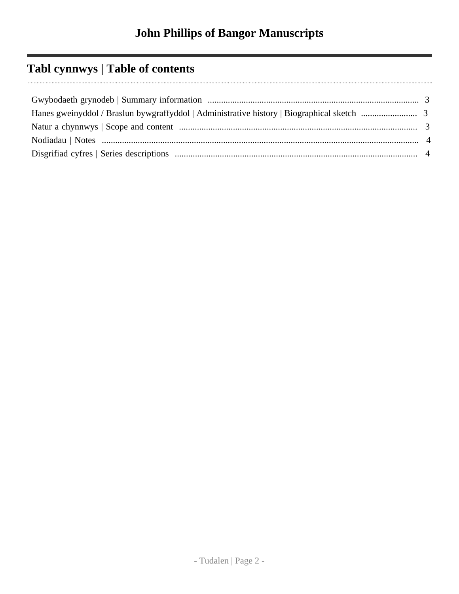# **Tabl cynnwys | Table of contents**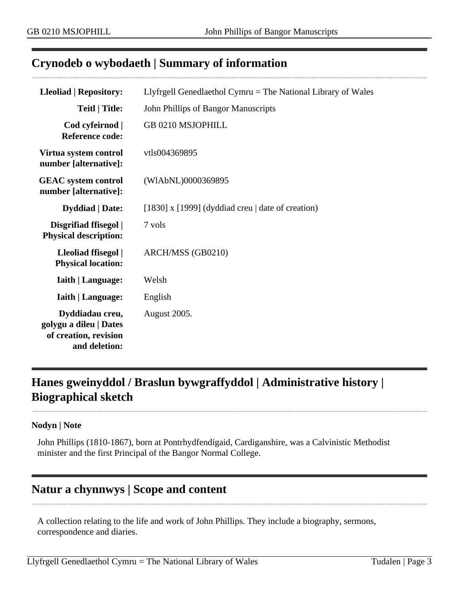### <span id="page-2-0"></span>**Crynodeb o wybodaeth | Summary of information**

| <b>Lleoliad   Repository:</b>                                                       | Llyfrgell Genedlaethol Cymru $=$ The National Library of Wales |  |  |
|-------------------------------------------------------------------------------------|----------------------------------------------------------------|--|--|
| <b>Teitl   Title:</b>                                                               | John Phillips of Bangor Manuscripts                            |  |  |
| Cod cyfeirnod  <br><b>Reference code:</b>                                           | GB 0210 MSJOPHILL                                              |  |  |
| Virtua system control<br>number [alternative]:                                      | vtls004369895                                                  |  |  |
| <b>GEAC</b> system control<br>number [alternative]:                                 | (WIAbNL)0000369895                                             |  |  |
| <b>Dyddiad</b>   Date:                                                              | [1830] x [1999] (dyddiad creu $\vert$ date of creation)        |  |  |
| Disgrifiad ffisegol  <br><b>Physical description:</b>                               | 7 vols                                                         |  |  |
| Lleoliad ffisegol  <br><b>Physical location:</b>                                    | ARCH/MSS (GB0210)                                              |  |  |
| <b>Iaith   Language:</b>                                                            | Welsh                                                          |  |  |
| <b>Iaith   Language:</b>                                                            | English                                                        |  |  |
| Dyddiadau creu,<br>golygu a dileu   Dates<br>of creation, revision<br>and deletion: | August 2005.                                                   |  |  |

## <span id="page-2-1"></span>**Hanes gweinyddol / Braslun bywgraffyddol | Administrative history | Biographical sketch**

#### **Nodyn | Note**

John Phillips (1810-1867), born at Pontrhydfendigaid, Cardiganshire, was a Calvinistic Methodist minister and the first Principal of the Bangor Normal College.

## <span id="page-2-2"></span>**Natur a chynnwys | Scope and content**

A collection relating to the life and work of John Phillips. They include a biography, sermons, correspondence and diaries.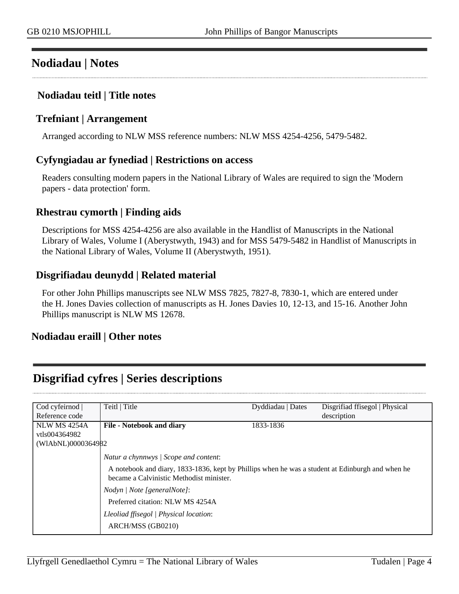## <span id="page-3-0"></span>**Nodiadau | Notes**

### **Nodiadau teitl | Title notes**

#### **Trefniant | Arrangement**

Arranged according to NLW MSS reference numbers: NLW MSS 4254-4256, 5479-5482.

#### **Cyfyngiadau ar fynediad | Restrictions on access**

Readers consulting modern papers in the National Library of Wales are required to sign the 'Modern papers - data protection' form.

#### **Rhestrau cymorth | Finding aids**

Descriptions for MSS 4254-4256 are also available in the Handlist of Manuscripts in the National Library of Wales, Volume I (Aberystwyth, 1943) and for MSS 5479-5482 in Handlist of Manuscripts in the National Library of Wales, Volume II (Aberystwyth, 1951).

### **Disgrifiadau deunydd | Related material**

For other John Phillips manuscripts see NLW MSS 7825, 7827-8, 7830-1, which are entered under the H. Jones Davies collection of manuscripts as H. Jones Davies 10, 12-13, and 15-16. Another John Phillips manuscript is NLW MS 12678.

#### **Nodiadau eraill | Other notes**

## <span id="page-3-1"></span>**Disgrifiad cyfres | Series descriptions**

| Cod cyfeirnod       | Teitl   Title                                                                                                                                | Dyddiadau   Dates | Disgrifiad ffisegol   Physical |
|---------------------|----------------------------------------------------------------------------------------------------------------------------------------------|-------------------|--------------------------------|
| Reference code      |                                                                                                                                              |                   | description                    |
| <b>NLW MS 4254A</b> | <b>File - Notebook and diary</b>                                                                                                             | 1833-1836         |                                |
| vtls004364982       |                                                                                                                                              |                   |                                |
| (WIAbNL)0000364982  |                                                                                                                                              |                   |                                |
|                     | Natur a chynnwys / Scope and content:                                                                                                        |                   |                                |
|                     | A notebook and diary, 1833-1836, kept by Phillips when he was a student at Edinburgh and when he<br>became a Calvinistic Methodist minister. |                   |                                |
|                     | Nodyn / Note [generalNote]:                                                                                                                  |                   |                                |
|                     | Preferred citation: NLW MS 4254A                                                                                                             |                   |                                |
|                     | Lleoliad ffisegol   Physical location:                                                                                                       |                   |                                |
|                     | ARCH/MSS (GB0210)                                                                                                                            |                   |                                |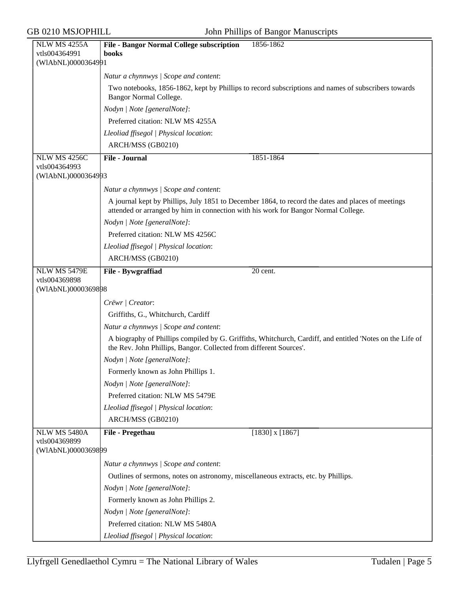| NLW MS 4255A                        | <b>File - Bangor Normal College subscription</b><br>1856-1862                                                                                                                            |
|-------------------------------------|------------------------------------------------------------------------------------------------------------------------------------------------------------------------------------------|
| vtls004364991                       | books                                                                                                                                                                                    |
| (WIAbNL)0000364991                  |                                                                                                                                                                                          |
|                                     | Natur a chynnwys / Scope and content:                                                                                                                                                    |
|                                     | Two notebooks, 1856-1862, kept by Phillips to record subscriptions and names of subscribers towards<br><b>Bangor Normal College.</b>                                                     |
|                                     | Nodyn   Note [generalNote]:                                                                                                                                                              |
|                                     | Preferred citation: NLW MS 4255A                                                                                                                                                         |
|                                     | Lleoliad ffisegol   Physical location:                                                                                                                                                   |
|                                     | ARCH/MSS (GB0210)                                                                                                                                                                        |
| NLW MS 4256C                        | <b>File - Journal</b><br>1851-1864                                                                                                                                                       |
| vtls004364993                       |                                                                                                                                                                                          |
| (WIAbNL)0000364993                  |                                                                                                                                                                                          |
|                                     | Natur a chynnwys / Scope and content:                                                                                                                                                    |
|                                     | A journal kept by Phillips, July 1851 to December 1864, to record the dates and places of meetings<br>attended or arranged by him in connection with his work for Bangor Normal College. |
|                                     | Nodyn   Note [generalNote]:                                                                                                                                                              |
|                                     | Preferred citation: NLW MS 4256C                                                                                                                                                         |
|                                     | Lleoliad ffisegol   Physical location:                                                                                                                                                   |
|                                     | ARCH/MSS (GB0210)                                                                                                                                                                        |
| <b>NLW MS 5479E</b>                 | File - Bywgraffiad<br>20 cent.                                                                                                                                                           |
| vtls004369898                       |                                                                                                                                                                                          |
| (WIAbNL)0000369898                  |                                                                                                                                                                                          |
|                                     | Crëwr   Creator:                                                                                                                                                                         |
|                                     | Griffiths, G., Whitchurch, Cardiff                                                                                                                                                       |
|                                     | Natur a chynnwys / Scope and content:                                                                                                                                                    |
|                                     | A biography of Phillips compiled by G. Griffiths, Whitchurch, Cardiff, and entitled 'Notes on the Life of<br>the Rev. John Phillips, Bangor. Collected from different Sources'.          |
|                                     | Nodyn   Note [generalNote]:                                                                                                                                                              |
|                                     | Formerly known as John Phillips 1.                                                                                                                                                       |
|                                     | Nodyn   Note [generalNote]:                                                                                                                                                              |
|                                     | Preferred citation: NLW MS 5479E                                                                                                                                                         |
|                                     | Lleoliad ffisegol   Physical location:                                                                                                                                                   |
|                                     | ARCH/MSS (GB0210)                                                                                                                                                                        |
| NLW MS 5480A                        | File - Pregethau<br>$[1830]$ x $[1867]$                                                                                                                                                  |
| vtls004369899<br>(WIAbNL)0000369899 |                                                                                                                                                                                          |
|                                     | Natur a chynnwys / Scope and content:                                                                                                                                                    |
|                                     | Outlines of sermons, notes on astronomy, miscellaneous extracts, etc. by Phillips.                                                                                                       |
|                                     | Nodyn   Note [generalNote]:                                                                                                                                                              |
|                                     | Formerly known as John Phillips 2.                                                                                                                                                       |
|                                     | Nodyn   Note [generalNote]:                                                                                                                                                              |
|                                     | Preferred citation: NLW MS 5480A                                                                                                                                                         |
|                                     | Lleoliad ffisegol   Physical location:                                                                                                                                                   |